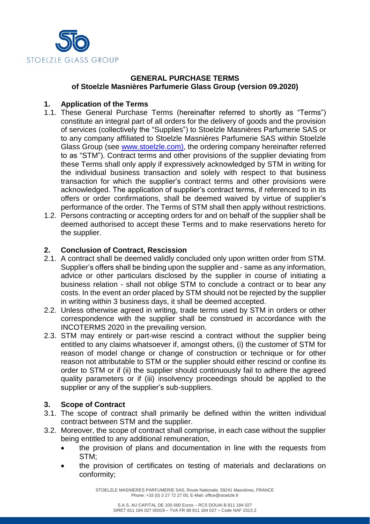

# **GENERAL PURCHASE TERMS of Stoelzle Masnières Parfumerie Glass Group (version 09.2020)**

# **1. Application of the Terms**

- 1.1. These General Purchase Terms (hereinafter referred to shortly as "Terms") constitute an integral part of all orders for the delivery of goods and the provision of services (collectively the "Supplies") to Stoelzle Masnières Parfumerie SAS or to any company affiliated to Stoelzle Masnières Parfumerie SAS within Stoelzle Glass Group (see [www.stoelzle.com\)](http://www.stoelzle.com/), the ordering company hereinafter referred to as "STM"). Contract terms and other provisions of the supplier deviating from these Terms shall only apply if expressively acknowledged by STM in writing for the individual business transaction and solely with respect to that business transaction for which the supplier's contract terms and other provisions were acknowledged. The application of supplier's contract terms, if referenced to in its offers or order confirmations, shall be deemed waived by virtue of supplier's performance of the order. The Terms of STM shall then apply without restrictions.
- 1.2. Persons contracting or accepting orders for and on behalf of the supplier shall be deemed authorised to accept these Terms and to make reservations hereto for the supplier.

### **2. Conclusion of Contract, Rescission**

- 2.1. A contract shall be deemed validly concluded only upon written order from STM. Supplier's offers shall be binding upon the supplier and - same as any information, advice or other particulars disclosed by the supplier in course of initiating a business relation - shall not oblige STM to conclude a contract or to bear any costs. In the event an order placed by STM should not be rejected by the supplier in writing within 3 business days, it shall be deemed accepted.
- 2.2. Unless otherwise agreed in writing, trade terms used by STM in orders or other correspondence with the supplier shall be construed in accordance with the INCOTERMS 2020 in the prevailing version.
- 2.3. STM may entirely or part-wise rescind a contract without the supplier being entitled to any claims whatsoever if, amongst others, (i) the customer of STM for reason of model change or change of construction or technique or for other reason not attributable to STM or the supplier should either rescind or confine its order to STM or if (ii) the supplier should continuously fail to adhere the agreed quality parameters or if (iii) insolvency proceedings should be applied to the supplier or any of the supplier's sub-suppliers.

### **3. Scope of Contract**

- 3.1. The scope of contract shall primarily be defined within the written individual contract between STM and the supplier.
- 3.2. Moreover, the scope of contract shall comprise, in each case without the supplier being entitled to any additional remuneration,
	- the provision of plans and documentation in line with the requests from STM;
	- the provision of certificates on testing of materials and declarations on conformity;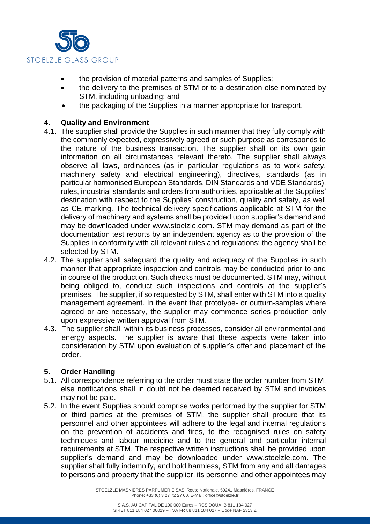

- the provision of material patterns and samples of Supplies;
- the delivery to the premises of STM or to a destination else nominated by STM, including unloading; and
- the packaging of the Supplies in a manner appropriate for transport.

### **4. Quality and Environment**

- 4.1. The supplier shall provide the Supplies in such manner that they fully comply with the commonly expected, expressively agreed or such purpose as corresponds to the nature of the business transaction. The supplier shall on its own gain information on all circumstances relevant thereto. The supplier shall always observe all laws, ordinances (as in particular regulations as to work safety, machinery safety and electrical engineering), directives, standards (as in particular harmonised European Standards, DIN Standards and VDE Standards), rules, industrial standards and orders from authorities, applicable at the Supplies' destination with respect to the Supplies' construction, quality and safety, as well as CE marking. The technical delivery specifications applicable at STM for the delivery of machinery and systems shall be provided upon supplier's demand and may be downloaded under www.stoelzle.com. STM may demand as part of the documentation test reports by an independent agency as to the provision of the Supplies in conformity with all relevant rules and regulations; the agency shall be selected by STM.
- 4.2. The supplier shall safeguard the quality and adequacy of the Supplies in such manner that appropriate inspection and controls may be conducted prior to and in course of the production. Such checks must be documented. STM may, without being obliged to, conduct such inspections and controls at the supplier's premises. The supplier, if so requested by STM, shall enter with STM into a quality management agreement. In the event that prototype- or outturn-samples where agreed or are necessary, the supplier may commence series production only upon expressive written approval from STM.
- 4.3. The supplier shall, within its business processes, consider all environmental and energy aspects. The supplier is aware that these aspects were taken into consideration by STM upon evaluation of supplier's offer and placement of the order.

### **5. Order Handling**

- 5.1. All correspondence referring to the order must state the order number from STM, else notifications shall in doubt not be deemed received by STM and invoices may not be paid.
- 5.2. In the event Supplies should comprise works performed by the supplier for STM or third parties at the premises of STM, the supplier shall procure that its personnel and other appointees will adhere to the legal and internal regulations on the prevention of accidents and fires, to the recognised rules on safety techniques and labour medicine and to the general and particular internal requirements at STM. The respective written instructions shall be provided upon supplier's demand and may be downloaded under www.stoelzle.com. The supplier shall fully indemnify, and hold harmless, STM from any and all damages to persons and property that the supplier, its personnel and other appointees may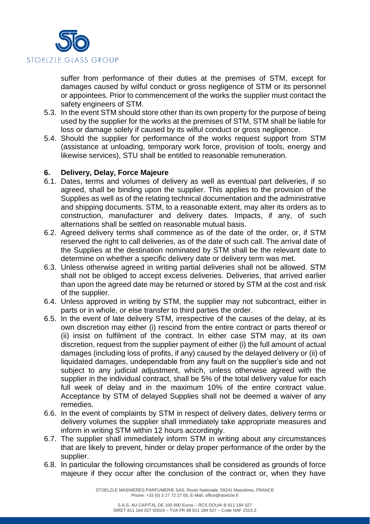

suffer from performance of their duties at the premises of STM, except for damages caused by wilful conduct or gross negligence of STM or its personnel or appointees. Prior to commencement of the works the supplier must contact the safety engineers of STM.

- 5.3. In the event STM should store other than its own property for the purpose of being used by the supplier for the works at the premises of STM, STM shall be liable for loss or damage solely if caused by its wilful conduct or gross negligence.
- 5.4. Should the supplier for performance of the works request support from STM (assistance at unloading, temporary work force, provision of tools, energy and likewise services), STU shall be entitled to reasonable remuneration.

### **6. Delivery, Delay, Force Majeure**

- 6.1. Dates, terms and volumes of delivery as well as eventual part deliveries, if so agreed, shall be binding upon the supplier. This applies to the provision of the Supplies as well as of the relating technical documentation and the administrative and shipping documents. STM, to a reasonable extent, may alter its orders as to construction, manufacturer and delivery dates. Impacts, if any, of such alternations shall be settled on reasonable mutual basis.
- 6.2. Agreed delivery terms shall commence as of the date of the order, or, if STM reserved the right to call deliveries, as of the date of such call. The arrival date of the Supplies at the destination nominated by STM shall be the relevant date to determine on whether a specific delivery date or delivery term was met.
- 6.3. Unless otherwise agreed in writing partial deliveries shall not be allowed. STM shall not be obliged to accept excess deliveries. Deliveries, that arrived earlier than upon the agreed date may be returned or stored by STM at the cost and risk of the supplier.
- 6.4. Unless approved in writing by STM, the supplier may not subcontract, either in parts or in whole, or else transfer to third parties the order.
- 6.5. In the event of late delivery STM, irrespective of the causes of the delay, at its own discretion may either (i) rescind from the entire contract or parts thereof or (ii) insist on fulfilment of the contract. In either case STM may, at its own discretion, request from the supplier payment of either (i) the full amount of actual damages (including loss of profits, if any) caused by the delayed delivery or (ii) of liquidated damages, undependable from any fault on the supplier's side and not subject to any judicial adjustment, which, unless otherwise agreed with the supplier in the individual contract, shall be 5% of the total delivery value for each full week of delay and in the maximum 10% of the entire contract value. Acceptance by STM of delayed Supplies shall not be deemed a waiver of any remedies.
- 6.6. In the event of complaints by STM in respect of delivery dates, delivery terms or delivery volumes the supplier shall immediately take appropriate measures and inform in writing STM within 12 hours accordingly.
- 6.7. The supplier shall immediately inform STM in writing about any circumstances that are likely to prevent, hinder or delay proper performance of the order by the supplier.
- 6.8. In particular the following circumstances shall be considered as grounds of force majeure if they occur after the conclusion of the contract or, when they have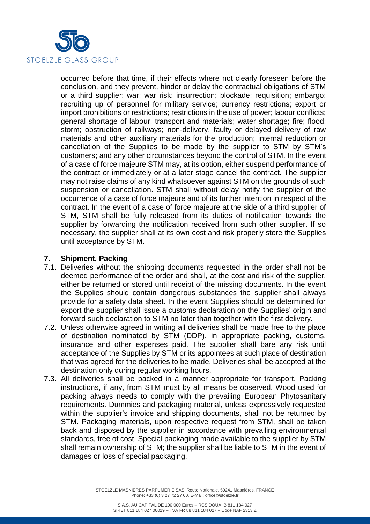

occurred before that time, if their effects where not clearly foreseen before the conclusion, and they prevent, hinder or delay the contractual obligations of STM or a third supplier: war; war risk; insurrection; blockade; requisition; embargo; recruiting up of personnel for military service; currency restrictions; export or import prohibitions or restrictions; restrictions in the use of power; labour conflicts; general shortage of labour, transport and materials; water shortage; fire; flood; storm; obstruction of railways; non-delivery, faulty or delayed delivery of raw materials and other auxiliary materials for the production; internal reduction or cancellation of the Supplies to be made by the supplier to STM by STM's customers; and any other circumstances beyond the control of STM. In the event of a case of force majeure STM may, at its option, either suspend performance of the contract or immediately or at a later stage cancel the contract. The supplier may not raise claims of any kind whatsoever against STM on the grounds of such suspension or cancellation. STM shall without delay notify the supplier of the occurrence of a case of force majeure and of its further intention in respect of the contract. In the event of a case of force majeure at the side of a third supplier of STM, STM shall be fully released from its duties of notification towards the supplier by forwarding the notification received from such other supplier. If so necessary, the supplier shall at its own cost and risk properly store the Supplies until acceptance by STM.

### **7. Shipment, Packing**

- 7.1. Deliveries without the shipping documents requested in the order shall not be deemed performance of the order and shall, at the cost and risk of the supplier, either be returned or stored until receipt of the missing documents. In the event the Supplies should contain dangerous substances the supplier shall always provide for a safety data sheet. In the event Supplies should be determined for export the supplier shall issue a customs declaration on the Supplies' origin and forward such declaration to STM no later than together with the first delivery.
- 7.2. Unless otherwise agreed in writing all deliveries shall be made free to the place of destination nominated by STM (DDP), in appropriate packing, customs, insurance and other expenses paid. The supplier shall bare any risk until acceptance of the Supplies by STM or its appointees at such place of destination that was agreed for the deliveries to be made. Deliveries shall be accepted at the destination only during regular working hours.
- 7.3. All deliveries shall be packed in a manner appropriate for transport. Packing instructions, if any, from STM must by all means be observed. Wood used for packing always needs to comply with the prevailing European Phytosanitary requirements. Dummies and packaging material, unless expressively requested within the supplier's invoice and shipping documents, shall not be returned by STM. Packaging materials, upon respective request from STM, shall be taken back and disposed by the supplier in accordance with prevailing environmental standards, free of cost. Special packaging made available to the supplier by STM shall remain ownership of STM; the supplier shall be liable to STM in the event of damages or loss of special packaging.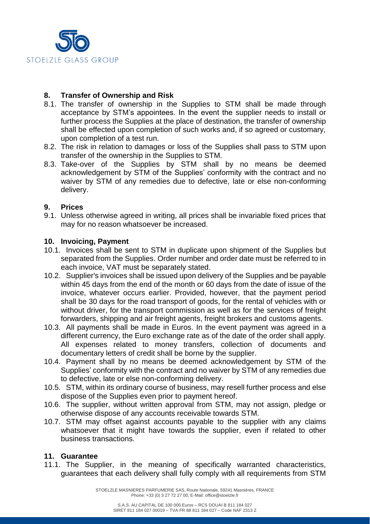

# **8. Transfer of Ownership and Risk**

- 8.1. The transfer of ownership in the Supplies to STM shall be made through acceptance by STM's appointees. In the event the supplier needs to install or further process the Supplies at the place of destination, the transfer of ownership shall be effected upon completion of such works and, if so agreed or customary, upon completion of a test run.
- 8.2. The risk in relation to damages or loss of the Supplies shall pass to STM upon transfer of the ownership in the Supplies to STM.
- 8.3. Take-over of the Supplies by STM shall by no means be deemed acknowledgement by STM of the Supplies' conformity with the contract and no waiver by STM of any remedies due to defective, late or else non-conforming delivery.

# **9. Prices**

9.1. Unless otherwise agreed in writing, all prices shall be invariable fixed prices that may for no reason whatsoever be increased.

#### **10. Invoicing, Payment**

- 10.1. Invoices shall be sent to STM in duplicate upon shipment of the Supplies but separated from the Supplies. Order number and order date must be referred to in each invoice, VAT must be separately stated.
- 10.2. Supplier's invoices shall be issued upon delivery of the Supplies and be payable within 45 days from the end of the month or 60 days from the date of issue of the invoice, whatever occurs earlier. Provided, however, that the payment period shall be 30 days for the road transport of goods, for the rental of vehicles with or without driver, for the transport commission as well as for the services of freight forwarders, shipping and air freight agents, freight brokers and customs agents.
- 10.3. All payments shall be made in Euros. In the event payment was agreed in a different currency, the Euro exchange rate as of the date of the order shall apply. All expenses related to money transfers, collection of documents and documentary letters of credit shall be borne by the supplier.
- 10.4. Payment shall by no means be deemed acknowledgement by STM of the Supplies' conformity with the contract and no waiver by STM of any remedies due to defective, late or else non-conforming delivery.
- 10.5. STM, within its ordinary course of business, may resell further process and else dispose of the Supplies even prior to payment hereof.
- 10.6. The supplier, without written approval from STM, may not assign, pledge or otherwise dispose of any accounts receivable towards STM.
- 10.7. STM may offset against accounts payable to the supplier with any claims whatsoever that it might have towards the supplier, even if related to other business transactions.

### **11. Guarantee**

11.1. The Supplier, in the meaning of specifically warranted characteristics, guarantees that each delivery shall fully comply with all requirements from STM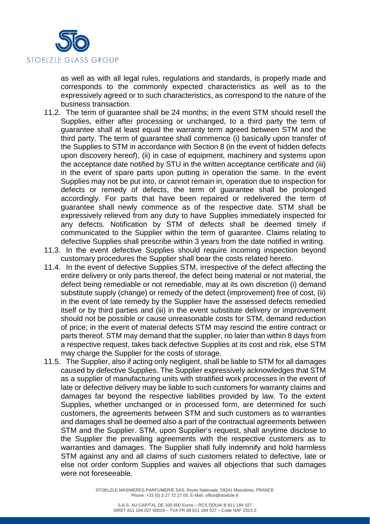

as well as with all legal rules, regulations and standards, is properly made and corresponds to the commonly expected characteristics as well as to the expressively agreed or to such characteristics, as correspond to the nature of the business transaction.

- 11.2. The term of guarantee shall be 24 months; in the event STM should resell the Supplies, either after processing or unchanged, to a third party the term of guarantee shall at least equal the warranty term agreed between STM and the third party. The term of guarantee shall commence (i) basically upon transfer of the Supplies to STM in accordance with Section 8 (in the event of hidden defects upon discovery hereof), (ii) in case of equipment, machinery and systems upon the acceptance date notified by STU in the written acceptance certificate and (iii) in the event of spare parts upon putting in operation the same. In the event Supplies may not be put into, or cannot remain in, operation due to inspection for defects or remedy of defects, the term of guarantee shall be prolonged accordingly. For parts that have been repaired or redelivered the term of guarantee shall newly commence as of the respective date. STM shall be expressively relieved from any duty to have Supplies immediately inspected for any defects. Notification by STM of defects shall be deemed timely if communicated to the Supplier within the term of guarantee. Claims relating to defective Supplies shall prescribe within 3 years from the date notified in writing.
- 11.3. In the event defective Supplies should require incoming inspection beyond customary procedures the Supplier shall bear the costs related hereto.
- 11.4. In the event of defective Supplies STM, irrespective of the defect affecting the entire delivery or only parts thereof, the defect being material or not material, the defect being remediable or not remediable, may at its own discretion (i) demand substitute supply (change) or remedy of the defect (improvement) free of cost, (ii) in the event of late remedy by the Supplier have the assessed defects remedied itself or by third parties and (iii) in the event substitute delivery or improvement should not be possible or cause unreasonable costs for STM, demand reduction of price; in the event of material defects STM may rescind the entire contract or parts thereof. STM may demand that the supplier, no later than within 8 days from a respective request, takes back defective Supplies at its cost and risk, else STM may charge the Supplier for the costs of storage.
- 11.5. The Supplier, also if acting only negligent, shall be liable to STM for all damages caused by defective Supplies. The Supplier expressively acknowledges that STM as a supplier of manufacturing units with stratified work processes in the event of late or defective delivery may be liable to such customers for warranty claims and damages far beyond the respective liabilities provided by law. To the extent Supplies, whether unchanged or in processed form, are determined for such customers, the agreements between STM and such customers as to warranties and damages shall be deemed also a part of the contractual agreements between STM and the Supplier. STM, upon Supplier's request, shall anytime disclose to the Supplier the prevailing agreements with the respective customers as to warranties and damages. The Supplier shall fully indemnify and hold harmless STM against any and all claims of such customers related to defective, late or else not order conform Supplies and waives all objections that such damages were not foreseeable.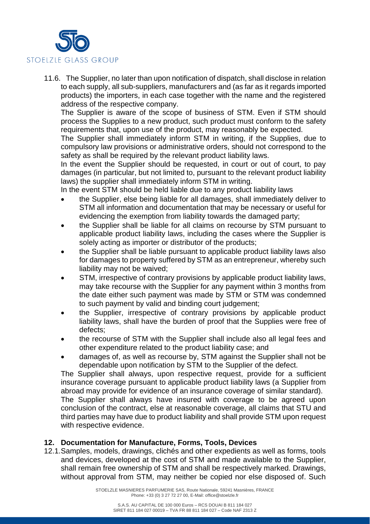

11.6. The Supplier, no later than upon notification of dispatch, shall disclose in relation to each supply, all sub-suppliers, manufacturers and (as far as it regards imported products) the importers, in each case together with the name and the registered address of the respective company.

The Supplier is aware of the scope of business of STM. Even if STM should process the Supplies to a new product, such product must conform to the safety requirements that, upon use of the product, may reasonably be expected.

The Supplier shall immediately inform STM in writing, if the Supplies, due to compulsory law provisions or administrative orders, should not correspond to the safety as shall be required by the relevant product liability laws.

In the event the Supplier should be requested, in court or out of court, to pay damages (in particular, but not limited to, pursuant to the relevant product liability laws) the supplier shall immediately inform STM in writing.

In the event STM should be held liable due to any product liability laws

- the Supplier, else being liable for all damages, shall immediately deliver to STM all information and documentation that may be necessary or useful for evidencing the exemption from liability towards the damaged party;
- the Supplier shall be liable for all claims on recourse by STM pursuant to applicable product liability laws, including the cases where the Supplier is solely acting as importer or distributor of the products;
- the Supplier shall be liable pursuant to applicable product liability laws also for damages to property suffered by STM as an entrepreneur, whereby such liability may not be waived;
- STM, irrespective of contrary provisions by applicable product liability laws, may take recourse with the Supplier for any payment within 3 months from the date either such payment was made by STM or STM was condemned to such payment by valid and binding court judgement;
- the Supplier, irrespective of contrary provisions by applicable product liability laws, shall have the burden of proof that the Supplies were free of defects;
- the recourse of STM with the Supplier shall include also all legal fees and other expenditure related to the product liability case; and
- damages of, as well as recourse by, STM against the Supplier shall not be dependable upon notification by STM to the Supplier of the defect.

The Supplier shall always, upon respective request, provide for a sufficient insurance coverage pursuant to applicable product liability laws (a Supplier from abroad may provide for evidence of an insurance coverage of similar standard).

The Supplier shall always have insured with coverage to be agreed upon conclusion of the contract, else at reasonable coverage, all claims that STU and third parties may have due to product liability and shall provide STM upon request with respective evidence.

### **12. Documentation for Manufacture, Forms, Tools, Devices**

12.1.Samples, models, drawings, clichés and other expedients as well as forms, tools and devices, developed at the cost of STM and made available to the Supplier, shall remain free ownership of STM and shall be respectively marked. Drawings, without approval from STM, may neither be copied nor else disposed of. Such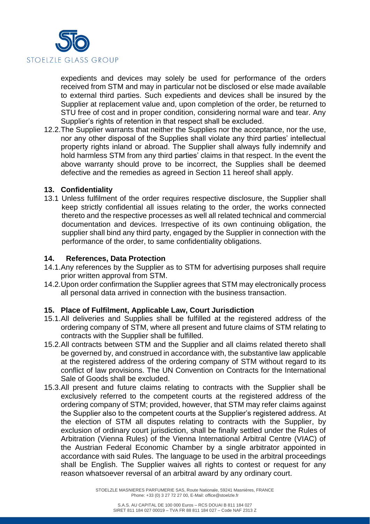

expedients and devices may solely be used for performance of the orders received from STM and may in particular not be disclosed or else made available to external third parties. Such expedients and devices shall be insured by the Supplier at replacement value and, upon completion of the order, be returned to STU free of cost and in proper condition, considering normal ware and tear. Any Supplier's rights of retention in that respect shall be excluded.

12.2.The Supplier warrants that neither the Supplies nor the acceptance, nor the use, nor any other disposal of the Supplies shall violate any third parties' intellectual property rights inland or abroad. The Supplier shall always fully indemnify and hold harmless STM from any third parties' claims in that respect. In the event the above warranty should prove to be incorrect, the Supplies shall be deemed defective and the remedies as agreed in Section 11 hereof shall apply.

### **13. Confidentiality**

13.1 Unless fulfilment of the order requires respective disclosure, the Supplier shall keep strictly confidential all issues relating to the order, the works connected thereto and the respective processes as well all related technical and commercial documentation and devices. Irrespective of its own continuing obligation, the supplier shall bind any third party, engaged by the Supplier in connection with the performance of the order, to same confidentiality obligations.

#### **14. References, Data Protection**

- 14.1.Any references by the Supplier as to STM for advertising purposes shall require prior written approval from STM.
- 14.2.Upon order confirmation the Supplier agrees that STM may electronically process all personal data arrived in connection with the business transaction.

### **15. Place of Fulfilment, Applicable Law, Court Jurisdiction**

- 15.1.All deliveries and Supplies shall be fulfilled at the registered address of the ordering company of STM, where all present and future claims of STM relating to contracts with the Supplier shall be fulfilled.
- 15.2.All contracts between STM and the Supplier and all claims related thereto shall be governed by, and construed in accordance with, the substantive law applicable at the registered address of the ordering company of STM without regard to its conflict of law provisions. The UN Convention on Contracts for the International Sale of Goods shall be excluded.
- 15.3.All present and future claims relating to contracts with the Supplier shall be exclusively referred to the competent courts at the registered address of the ordering company of STM; provided, however, that STM may refer claims against the Supplier also to the competent courts at the Supplier's registered address. At the election of STM all disputes relating to contracts with the Supplier, by exclusion of ordinary court jurisdiction, shall be finally settled under the Rules of Arbitration (Vienna Rules) of the Vienna International Arbitral Centre (VIAC) of the Austrian Federal Economic Chamber by a single arbitrator appointed in accordance with said Rules. The language to be used in the arbitral proceedings shall be English. The Supplier waives all rights to contest or request for any reason whatsoever reversal of an arbitral award by any ordinary court.